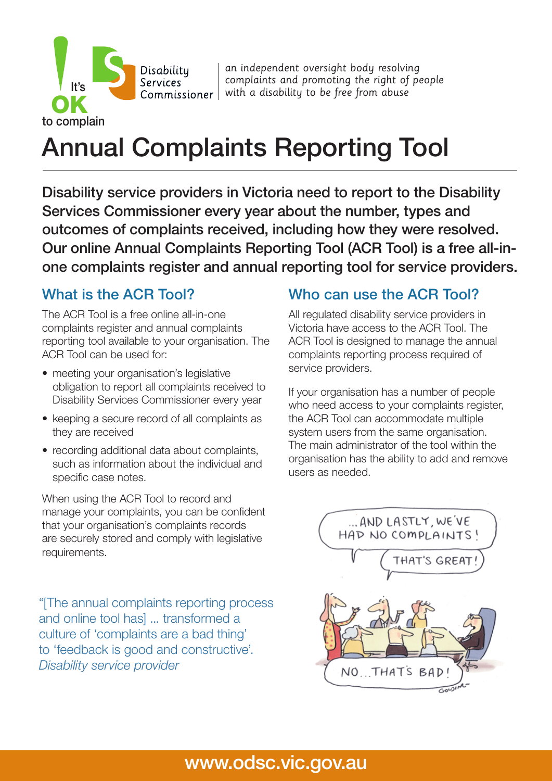an independent oversight body resolving complaints and promoting the right of people  $Commissioner \mid$  with a disability to be free from abuse

# Annual Complaints Reporting Tool

Disability service providers in Victoria need to report to the Disability Services Commissioner every year about the number, types and outcomes of complaints received, including how they were resolved. Our online Annual Complaints Reporting Tool (ACR Tool) is a free all-inone complaints register and annual reporting tool for service providers.

#### What is the ACR Tool?

to complain

It's

The ACR Tool is a free online all-in-one complaints register and annual complaints reporting tool available to your organisation. The ACR Tool can be used for:

Disabilitu **Services** 

- meeting your organisation's legislative obligation to report all complaints received to Disability Services Commissioner every year
- keeping a secure record of all complaints as they are received
- recording additional data about complaints, such as information about the individual and specific case notes.

When using the ACR Tool to record and manage your complaints, you can be confident that your organisation's complaints records are securely stored and comply with legislative requirements.

"[The annual complaints reporting process and online tool has] ... transformed a culture of 'complaints are a bad thing' to 'feedback is good and constructive'. *Disability service provider*

#### Who can use the ACR Tool?

All regulated disability service providers in Victoria have access to the ACR Tool. The ACR Tool is designed to manage the annual complaints reporting process required of service providers.

If your organisation has a number of people who need access to your complaints register. the ACR Tool can accommodate multiple system users from the same organisation. The main administrator of the tool within the organisation has the ability to add and remove users as needed.



### www.odsc.vic.gov.au